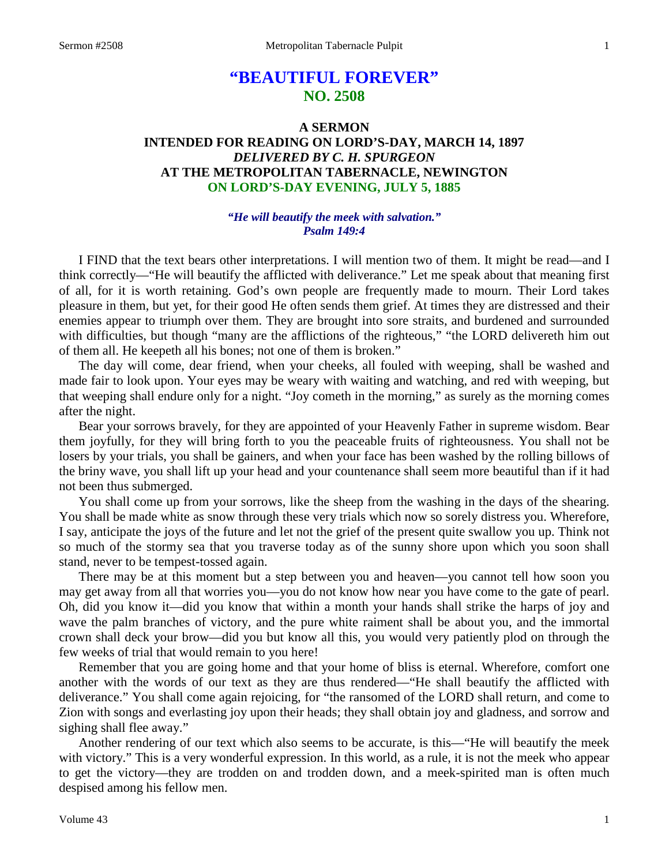# **"BEAUTIFUL FOREVER" NO. 2508**

# **A SERMON INTENDED FOR READING ON LORD'S-DAY, MARCH 14, 1897** *DELIVERED BY C. H. SPURGEON* **AT THE METROPOLITAN TABERNACLE, NEWINGTON ON LORD'S-DAY EVENING, JULY 5, 1885**

### *"He will beautify the meek with salvation." Psalm 149:4*

I FIND that the text bears other interpretations. I will mention two of them. It might be read—and I think correctly—"He will beautify the afflicted with deliverance." Let me speak about that meaning first of all, for it is worth retaining. God's own people are frequently made to mourn. Their Lord takes pleasure in them, but yet, for their good He often sends them grief. At times they are distressed and their enemies appear to triumph over them. They are brought into sore straits, and burdened and surrounded with difficulties, but though "many are the afflictions of the righteous," "the LORD delivereth him out of them all. He keepeth all his bones; not one of them is broken."

The day will come, dear friend, when your cheeks, all fouled with weeping, shall be washed and made fair to look upon. Your eyes may be weary with waiting and watching, and red with weeping, but that weeping shall endure only for a night. "Joy cometh in the morning," as surely as the morning comes after the night.

Bear your sorrows bravely, for they are appointed of your Heavenly Father in supreme wisdom. Bear them joyfully, for they will bring forth to you the peaceable fruits of righteousness. You shall not be losers by your trials, you shall be gainers, and when your face has been washed by the rolling billows of the briny wave, you shall lift up your head and your countenance shall seem more beautiful than if it had not been thus submerged.

You shall come up from your sorrows, like the sheep from the washing in the days of the shearing. You shall be made white as snow through these very trials which now so sorely distress you. Wherefore, I say, anticipate the joys of the future and let not the grief of the present quite swallow you up. Think not so much of the stormy sea that you traverse today as of the sunny shore upon which you soon shall stand, never to be tempest-tossed again.

There may be at this moment but a step between you and heaven—you cannot tell how soon you may get away from all that worries you—you do not know how near you have come to the gate of pearl. Oh, did you know it—did you know that within a month your hands shall strike the harps of joy and wave the palm branches of victory, and the pure white raiment shall be about you, and the immortal crown shall deck your brow—did you but know all this, you would very patiently plod on through the few weeks of trial that would remain to you here!

Remember that you are going home and that your home of bliss is eternal. Wherefore, comfort one another with the words of our text as they are thus rendered—"He shall beautify the afflicted with deliverance." You shall come again rejoicing, for "the ransomed of the LORD shall return, and come to Zion with songs and everlasting joy upon their heads; they shall obtain joy and gladness, and sorrow and sighing shall flee away."

Another rendering of our text which also seems to be accurate, is this—"He will beautify the meek with victory." This is a very wonderful expression. In this world, as a rule, it is not the meek who appear to get the victory—they are trodden on and trodden down, and a meek-spirited man is often much despised among his fellow men.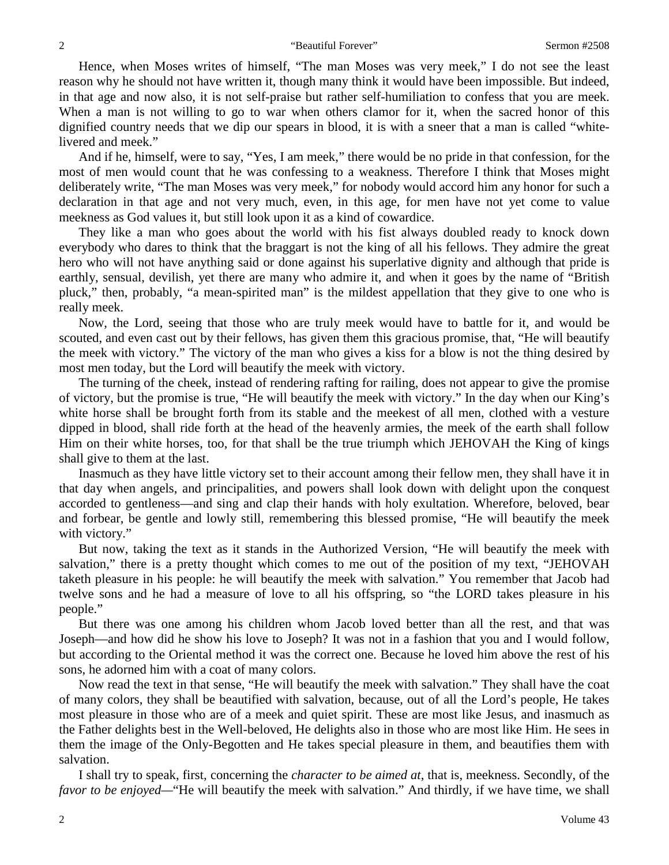Hence, when Moses writes of himself, "The man Moses was very meek," I do not see the least reason why he should not have written it, though many think it would have been impossible. But indeed, in that age and now also, it is not self-praise but rather self-humiliation to confess that you are meek. When a man is not willing to go to war when others clamor for it, when the sacred honor of this dignified country needs that we dip our spears in blood, it is with a sneer that a man is called "whitelivered and meek."

And if he, himself, were to say, "Yes, I am meek," there would be no pride in that confession, for the most of men would count that he was confessing to a weakness. Therefore I think that Moses might deliberately write, "The man Moses was very meek," for nobody would accord him any honor for such a declaration in that age and not very much, even, in this age, for men have not yet come to value meekness as God values it, but still look upon it as a kind of cowardice.

They like a man who goes about the world with his fist always doubled ready to knock down everybody who dares to think that the braggart is not the king of all his fellows. They admire the great hero who will not have anything said or done against his superlative dignity and although that pride is earthly, sensual, devilish, yet there are many who admire it, and when it goes by the name of "British pluck," then, probably, "a mean-spirited man" is the mildest appellation that they give to one who is really meek.

Now, the Lord, seeing that those who are truly meek would have to battle for it, and would be scouted, and even cast out by their fellows, has given them this gracious promise, that, "He will beautify the meek with victory." The victory of the man who gives a kiss for a blow is not the thing desired by most men today, but the Lord will beautify the meek with victory.

The turning of the cheek, instead of rendering rafting for railing, does not appear to give the promise of victory, but the promise is true, "He will beautify the meek with victory." In the day when our King's white horse shall be brought forth from its stable and the meekest of all men, clothed with a vesture dipped in blood, shall ride forth at the head of the heavenly armies, the meek of the earth shall follow Him on their white horses, too, for that shall be the true triumph which JEHOVAH the King of kings shall give to them at the last.

Inasmuch as they have little victory set to their account among their fellow men, they shall have it in that day when angels, and principalities, and powers shall look down with delight upon the conquest accorded to gentleness—and sing and clap their hands with holy exultation. Wherefore, beloved, bear and forbear, be gentle and lowly still, remembering this blessed promise, "He will beautify the meek with victory."

But now, taking the text as it stands in the Authorized Version, "He will beautify the meek with salvation," there is a pretty thought which comes to me out of the position of my text, "JEHOVAH taketh pleasure in his people: he will beautify the meek with salvation." You remember that Jacob had twelve sons and he had a measure of love to all his offspring, so "the LORD takes pleasure in his people."

But there was one among his children whom Jacob loved better than all the rest, and that was Joseph—and how did he show his love to Joseph? It was not in a fashion that you and I would follow, but according to the Oriental method it was the correct one. Because he loved him above the rest of his sons, he adorned him with a coat of many colors.

Now read the text in that sense, "He will beautify the meek with salvation." They shall have the coat of many colors, they shall be beautified with salvation, because, out of all the Lord's people, He takes most pleasure in those who are of a meek and quiet spirit. These are most like Jesus, and inasmuch as the Father delights best in the Well-beloved, He delights also in those who are most like Him. He sees in them the image of the Only-Begotten and He takes special pleasure in them, and beautifies them with salvation.

I shall try to speak, first, concerning the *character to be aimed at*, that is, meekness. Secondly, of the *favor to be enjoyed—*"He will beautify the meek with salvation." And thirdly, if we have time, we shall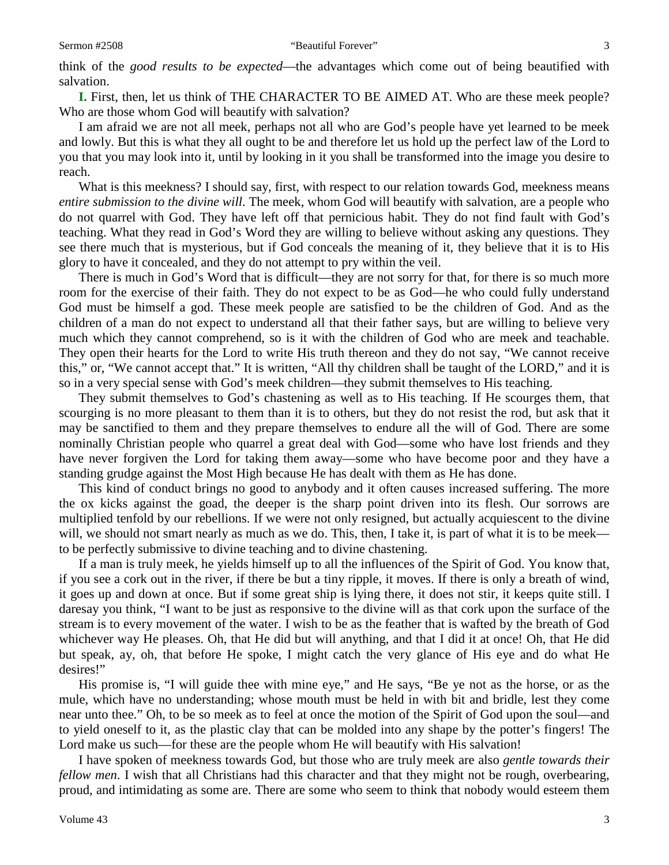**I.** First, then, let us think of THE CHARACTER TO BE AIMED AT. Who are these meek people? Who are those whom God will beautify with salvation?

I am afraid we are not all meek, perhaps not all who are God's people have yet learned to be meek and lowly. But this is what they all ought to be and therefore let us hold up the perfect law of the Lord to you that you may look into it, until by looking in it you shall be transformed into the image you desire to reach.

What is this meekness? I should say, first, with respect to our relation towards God, meekness means *entire submission to the divine will*. The meek, whom God will beautify with salvation, are a people who do not quarrel with God. They have left off that pernicious habit. They do not find fault with God's teaching. What they read in God's Word they are willing to believe without asking any questions. They see there much that is mysterious, but if God conceals the meaning of it, they believe that it is to His glory to have it concealed, and they do not attempt to pry within the veil.

There is much in God's Word that is difficult—they are not sorry for that, for there is so much more room for the exercise of their faith. They do not expect to be as God—he who could fully understand God must be himself a god. These meek people are satisfied to be the children of God. And as the children of a man do not expect to understand all that their father says, but are willing to believe very much which they cannot comprehend, so is it with the children of God who are meek and teachable. They open their hearts for the Lord to write His truth thereon and they do not say, "We cannot receive this," or, "We cannot accept that." It is written, "All thy children shall be taught of the LORD," and it is so in a very special sense with God's meek children—they submit themselves to His teaching.

They submit themselves to God's chastening as well as to His teaching. If He scourges them, that scourging is no more pleasant to them than it is to others, but they do not resist the rod, but ask that it may be sanctified to them and they prepare themselves to endure all the will of God. There are some nominally Christian people who quarrel a great deal with God—some who have lost friends and they have never forgiven the Lord for taking them away—some who have become poor and they have a standing grudge against the Most High because He has dealt with them as He has done.

This kind of conduct brings no good to anybody and it often causes increased suffering. The more the ox kicks against the goad, the deeper is the sharp point driven into its flesh. Our sorrows are multiplied tenfold by our rebellions. If we were not only resigned, but actually acquiescent to the divine will, we should not smart nearly as much as we do. This, then, I take it, is part of what it is to be meek to be perfectly submissive to divine teaching and to divine chastening.

If a man is truly meek, he yields himself up to all the influences of the Spirit of God. You know that, if you see a cork out in the river, if there be but a tiny ripple, it moves. If there is only a breath of wind, it goes up and down at once. But if some great ship is lying there, it does not stir, it keeps quite still. I daresay you think, "I want to be just as responsive to the divine will as that cork upon the surface of the stream is to every movement of the water. I wish to be as the feather that is wafted by the breath of God whichever way He pleases. Oh, that He did but will anything, and that I did it at once! Oh, that He did but speak, ay, oh, that before He spoke, I might catch the very glance of His eye and do what He desires!"

His promise is, "I will guide thee with mine eye," and He says, "Be ye not as the horse, or as the mule, which have no understanding; whose mouth must be held in with bit and bridle, lest they come near unto thee." Oh, to be so meek as to feel at once the motion of the Spirit of God upon the soul—and to yield oneself to it, as the plastic clay that can be molded into any shape by the potter's fingers! The Lord make us such—for these are the people whom He will beautify with His salvation!

I have spoken of meekness towards God, but those who are truly meek are also *gentle towards their fellow men*. I wish that all Christians had this character and that they might not be rough, overbearing, proud, and intimidating as some are. There are some who seem to think that nobody would esteem them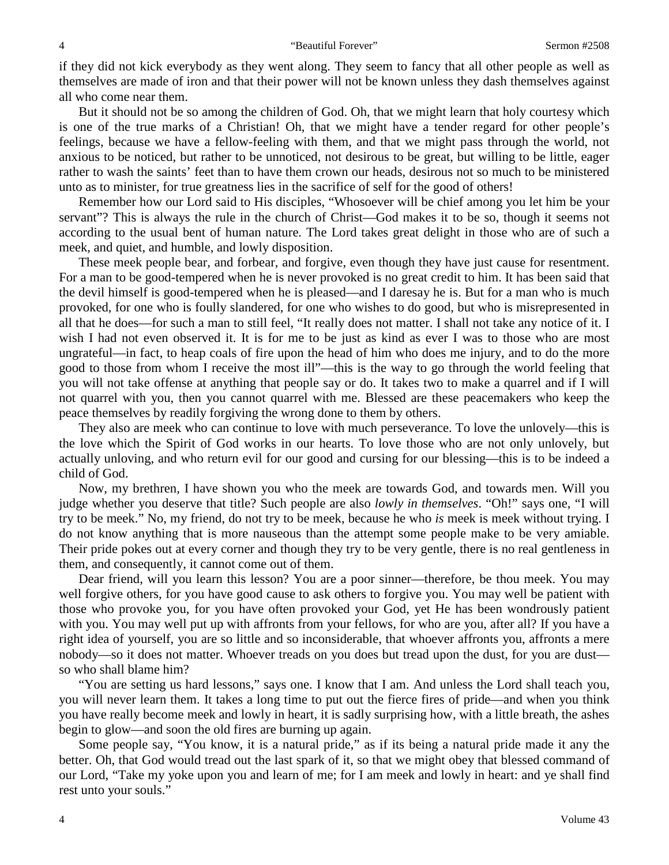if they did not kick everybody as they went along. They seem to fancy that all other people as well as themselves are made of iron and that their power will not be known unless they dash themselves against all who come near them.

But it should not be so among the children of God. Oh, that we might learn that holy courtesy which is one of the true marks of a Christian! Oh, that we might have a tender regard for other people's feelings, because we have a fellow-feeling with them, and that we might pass through the world, not anxious to be noticed, but rather to be unnoticed, not desirous to be great, but willing to be little, eager rather to wash the saints' feet than to have them crown our heads, desirous not so much to be ministered unto as to minister, for true greatness lies in the sacrifice of self for the good of others!

Remember how our Lord said to His disciples, "Whosoever will be chief among you let him be your servant"? This is always the rule in the church of Christ—God makes it to be so, though it seems not according to the usual bent of human nature. The Lord takes great delight in those who are of such a meek, and quiet, and humble, and lowly disposition.

These meek people bear, and forbear, and forgive, even though they have just cause for resentment. For a man to be good-tempered when he is never provoked is no great credit to him. It has been said that the devil himself is good-tempered when he is pleased—and I daresay he is. But for a man who is much provoked, for one who is foully slandered, for one who wishes to do good, but who is misrepresented in all that he does—for such a man to still feel, "It really does not matter. I shall not take any notice of it. I wish I had not even observed it. It is for me to be just as kind as ever I was to those who are most ungrateful—in fact, to heap coals of fire upon the head of him who does me injury, and to do the more good to those from whom I receive the most ill"—this is the way to go through the world feeling that you will not take offense at anything that people say or do. It takes two to make a quarrel and if I will not quarrel with you, then you cannot quarrel with me. Blessed are these peacemakers who keep the peace themselves by readily forgiving the wrong done to them by others.

They also are meek who can continue to love with much perseverance. To love the unlovely—this is the love which the Spirit of God works in our hearts. To love those who are not only unlovely, but actually unloving, and who return evil for our good and cursing for our blessing—this is to be indeed a child of God.

Now, my brethren, I have shown you who the meek are towards God, and towards men. Will you judge whether you deserve that title? Such people are also *lowly in themselves*. "Oh!" says one, "I will try to be meek." No, my friend, do not try to be meek, because he who *is* meek is meek without trying. I do not know anything that is more nauseous than the attempt some people make to be very amiable. Their pride pokes out at every corner and though they try to be very gentle, there is no real gentleness in them, and consequently, it cannot come out of them.

Dear friend, will you learn this lesson? You are a poor sinner—therefore, be thou meek. You may well forgive others, for you have good cause to ask others to forgive you. You may well be patient with those who provoke you, for you have often provoked your God, yet He has been wondrously patient with you. You may well put up with affronts from your fellows, for who are you, after all? If you have a right idea of yourself, you are so little and so inconsiderable, that whoever affronts you, affronts a mere nobody—so it does not matter. Whoever treads on you does but tread upon the dust, for you are dust so who shall blame him?

"You are setting us hard lessons," says one. I know that I am. And unless the Lord shall teach you, you will never learn them. It takes a long time to put out the fierce fires of pride—and when you think you have really become meek and lowly in heart, it is sadly surprising how, with a little breath, the ashes begin to glow—and soon the old fires are burning up again.

Some people say, "You know, it is a natural pride," as if its being a natural pride made it any the better. Oh, that God would tread out the last spark of it, so that we might obey that blessed command of our Lord, "Take my yoke upon you and learn of me; for I am meek and lowly in heart: and ye shall find rest unto your souls."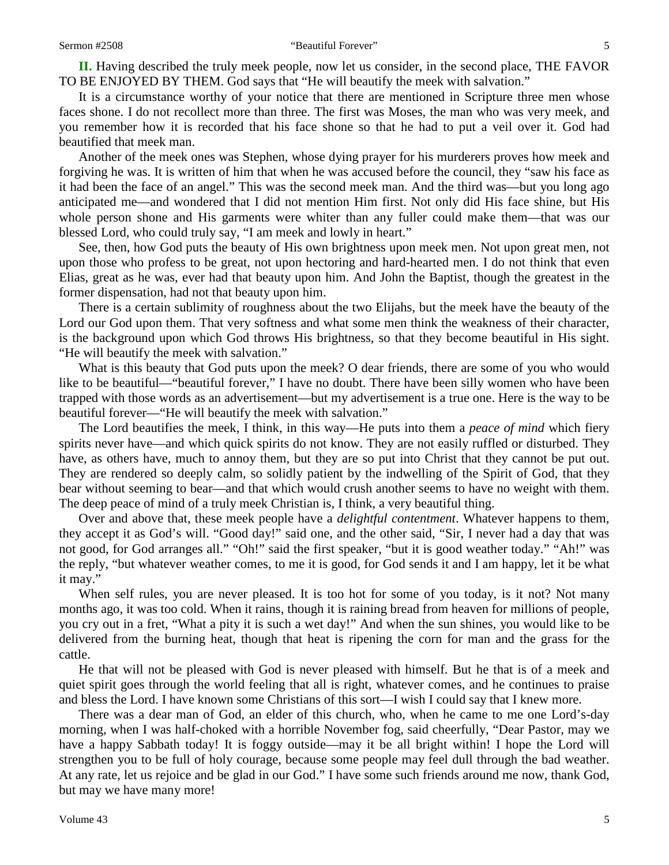**II.** Having described the truly meek people, now let us consider, in the second place, THE FAVOR TO BE ENJOYED BY THEM. God says that "He will beautify the meek with salvation."

It is a circumstance worthy of your notice that there are mentioned in Scripture three men whose faces shone. I do not recollect more than three. The first was Moses, the man who was very meek, and you remember how it is recorded that his face shone so that he had to put a veil over it. God had beautified that meek man.

Another of the meek ones was Stephen, whose dying prayer for his murderers proves how meek and forgiving he was. It is written of him that when he was accused before the council, they "saw his face as it had been the face of an angel." This was the second meek man. And the third was—but you long ago anticipated me—and wondered that I did not mention Him first. Not only did His face shine, but His whole person shone and His garments were whiter than any fuller could make them—that was our blessed Lord, who could truly say, "I am meek and lowly in heart."

See, then, how God puts the beauty of His own brightness upon meek men. Not upon great men, not upon those who profess to be great, not upon hectoring and hard-hearted men. I do not think that even Elias, great as he was, ever had that beauty upon him. And John the Baptist, though the greatest in the former dispensation, had not that beauty upon him.

There is a certain sublimity of roughness about the two Elijahs, but the meek have the beauty of the Lord our God upon them. That very softness and what some men think the weakness of their character, is the background upon which God throws His brightness, so that they become beautiful in His sight. "He will beautify the meek with salvation."

What is this beauty that God puts upon the meek? O dear friends, there are some of you who would like to be beautiful—"beautiful forever," I have no doubt. There have been silly women who have been trapped with those words as an advertisement—but my advertisement is a true one. Here is the way to be beautiful forever—"He will beautify the meek with salvation."

The Lord beautifies the meek, I think, in this way—He puts into them a *peace of mind* which fiery spirits never have—and which quick spirits do not know. They are not easily ruffled or disturbed. They have, as others have, much to annoy them, but they are so put into Christ that they cannot be put out. They are rendered so deeply calm, so solidly patient by the indwelling of the Spirit of God, that they bear without seeming to bear—and that which would crush another seems to have no weight with them. The deep peace of mind of a truly meek Christian is, I think, a very beautiful thing.

Over and above that, these meek people have a *delightful contentment*. Whatever happens to them, they accept it as God's will. "Good day!" said one, and the other said, "Sir, I never had a day that was not good, for God arranges all." "Oh!" said the first speaker, "but it is good weather today." "Ah!" was the reply, "but whatever weather comes, to me it is good, for God sends it and I am happy, let it be what it may."

When self rules, you are never pleased. It is too hot for some of you today, is it not? Not many months ago, it was too cold. When it rains, though it is raining bread from heaven for millions of people, you cry out in a fret, "What a pity it is such a wet day!" And when the sun shines, you would like to be delivered from the burning heat, though that heat is ripening the corn for man and the grass for the cattle.

He that will not be pleased with God is never pleased with himself. But he that is of a meek and quiet spirit goes through the world feeling that all is right, whatever comes, and he continues to praise and bless the Lord. I have known some Christians of this sort—I wish I could say that I knew more.

There was a dear man of God, an elder of this church, who, when he came to me one Lord's-day morning, when I was half-choked with a horrible November fog, said cheerfully, "Dear Pastor, may we have a happy Sabbath today! It is foggy outside—may it be all bright within! I hope the Lord will strengthen you to be full of holy courage, because some people may feel dull through the bad weather. At any rate, let us rejoice and be glad in our God." I have some such friends around me now, thank God, but may we have many more!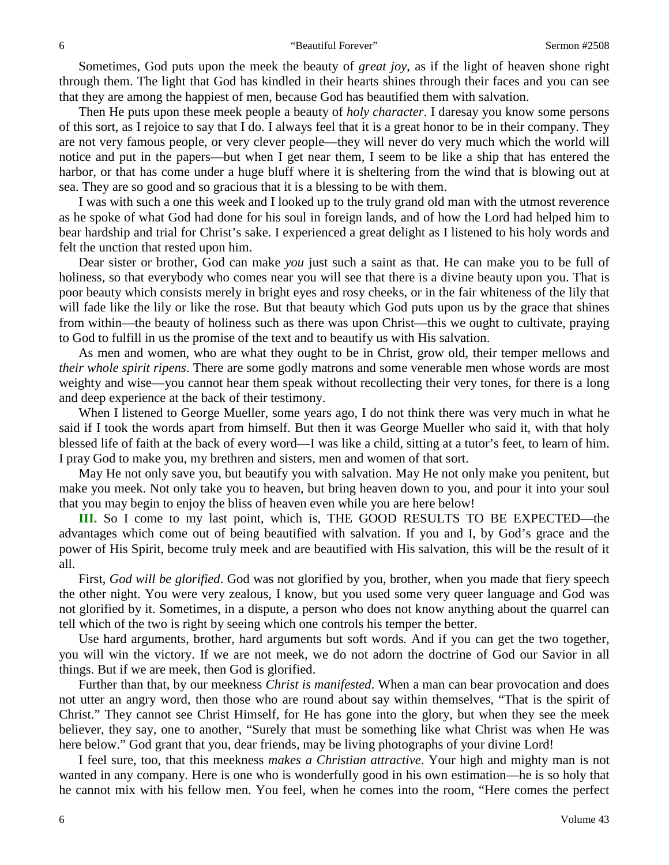Sometimes, God puts upon the meek the beauty of *great joy*, as if the light of heaven shone right through them. The light that God has kindled in their hearts shines through their faces and you can see that they are among the happiest of men, because God has beautified them with salvation.

Then He puts upon these meek people a beauty of *holy character*. I daresay you know some persons of this sort, as I rejoice to say that I do. I always feel that it is a great honor to be in their company. They are not very famous people, or very clever people—they will never do very much which the world will notice and put in the papers—but when I get near them, I seem to be like a ship that has entered the harbor, or that has come under a huge bluff where it is sheltering from the wind that is blowing out at sea. They are so good and so gracious that it is a blessing to be with them.

I was with such a one this week and I looked up to the truly grand old man with the utmost reverence as he spoke of what God had done for his soul in foreign lands, and of how the Lord had helped him to bear hardship and trial for Christ's sake. I experienced a great delight as I listened to his holy words and felt the unction that rested upon him.

Dear sister or brother, God can make *you* just such a saint as that. He can make you to be full of holiness, so that everybody who comes near you will see that there is a divine beauty upon you. That is poor beauty which consists merely in bright eyes and rosy cheeks, or in the fair whiteness of the lily that will fade like the lily or like the rose. But that beauty which God puts upon us by the grace that shines from within—the beauty of holiness such as there was upon Christ—this we ought to cultivate, praying to God to fulfill in us the promise of the text and to beautify us with His salvation.

As men and women, who are what they ought to be in Christ, grow old, their temper mellows and *their whole spirit ripens*. There are some godly matrons and some venerable men whose words are most weighty and wise—you cannot hear them speak without recollecting their very tones, for there is a long and deep experience at the back of their testimony.

When I listened to George Mueller, some years ago, I do not think there was very much in what he said if I took the words apart from himself. But then it was George Mueller who said it, with that holy blessed life of faith at the back of every word—I was like a child, sitting at a tutor's feet, to learn of him. I pray God to make you, my brethren and sisters, men and women of that sort.

May He not only save you, but beautify you with salvation. May He not only make you penitent, but make you meek. Not only take you to heaven, but bring heaven down to you, and pour it into your soul that you may begin to enjoy the bliss of heaven even while you are here below!

**III.** So I come to my last point, which is, THE GOOD RESULTS TO BE EXPECTED—the advantages which come out of being beautified with salvation. If you and I, by God's grace and the power of His Spirit, become truly meek and are beautified with His salvation, this will be the result of it all.

First, *God will be glorified*. God was not glorified by you, brother, when you made that fiery speech the other night. You were very zealous, I know, but you used some very queer language and God was not glorified by it. Sometimes, in a dispute, a person who does not know anything about the quarrel can tell which of the two is right by seeing which one controls his temper the better.

Use hard arguments, brother, hard arguments but soft words*.* And if you can get the two together, you will win the victory. If we are not meek, we do not adorn the doctrine of God our Savior in all things. But if we are meek, then God is glorified.

Further than that, by our meekness *Christ is manifested*. When a man can bear provocation and does not utter an angry word, then those who are round about say within themselves, "That is the spirit of Christ." They cannot see Christ Himself, for He has gone into the glory, but when they see the meek believer, they say, one to another, "Surely that must be something like what Christ was when He was here below." God grant that you, dear friends, may be living photographs of your divine Lord!

I feel sure, too, that this meekness *makes a Christian attractive*. Your high and mighty man is not wanted in any company. Here is one who is wonderfully good in his own estimation—he is so holy that he cannot mix with his fellow men. You feel, when he comes into the room, "Here comes the perfect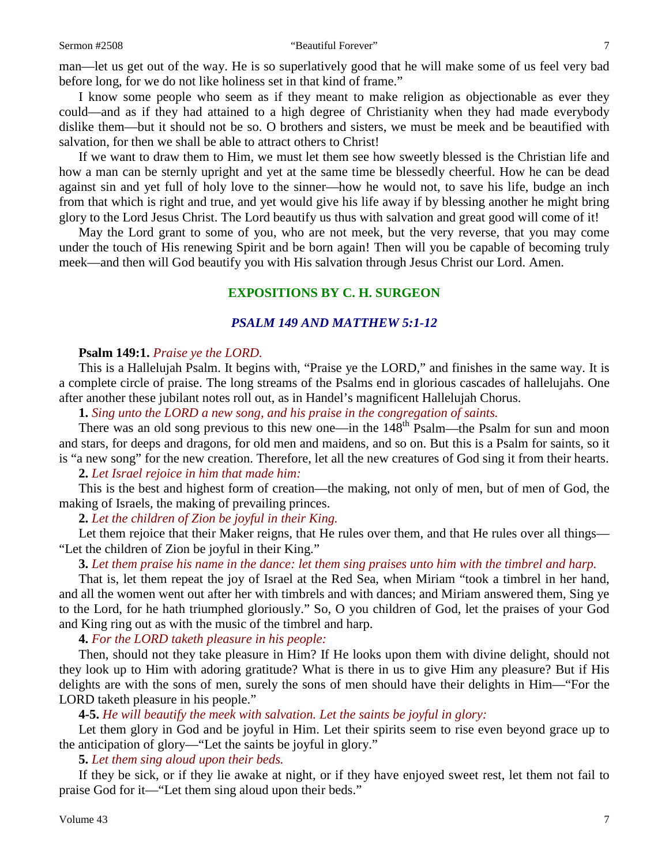#### Sermon #2508 **Sermon #2508** "Beautiful Forever" 7

man—let us get out of the way. He is so superlatively good that he will make some of us feel very bad before long, for we do not like holiness set in that kind of frame."

I know some people who seem as if they meant to make religion as objectionable as ever they could—and as if they had attained to a high degree of Christianity when they had made everybody dislike them—but it should not be so. O brothers and sisters, we must be meek and be beautified with salvation, for then we shall be able to attract others to Christ!

If we want to draw them to Him, we must let them see how sweetly blessed is the Christian life and how a man can be sternly upright and yet at the same time be blessedly cheerful. How he can be dead against sin and yet full of holy love to the sinner—how he would not, to save his life, budge an inch from that which is right and true, and yet would give his life away if by blessing another he might bring glory to the Lord Jesus Christ. The Lord beautify us thus with salvation and great good will come of it!

May the Lord grant to some of you, who are not meek, but the very reverse, that you may come under the touch of His renewing Spirit and be born again! Then will you be capable of becoming truly meek—and then will God beautify you with His salvation through Jesus Christ our Lord. Amen.

# **EXPOSITIONS BY C. H. SURGEON**

### *PSALM 149 AND MATTHEW 5:1-12*

#### **Psalm 149:1.** *Praise ye the LORD.*

This is a Hallelujah Psalm. It begins with, "Praise ye the LORD," and finishes in the same way. It is a complete circle of praise. The long streams of the Psalms end in glorious cascades of hallelujahs. One after another these jubilant notes roll out, as in Handel's magnificent Hallelujah Chorus.

**1.** *Sing unto the LORD a new song, and his praise in the congregation of saints.* 

There was an old song previous to this new one—in the  $148<sup>th</sup>$  Psalm—the Psalm for sun and moon and stars, for deeps and dragons, for old men and maidens, and so on. But this is a Psalm for saints, so it is "a new song" for the new creation. Therefore, let all the new creatures of God sing it from their hearts.

#### **2.** *Let Israel rejoice in him that made him:*

This is the best and highest form of creation—the making, not only of men, but of men of God, the making of Israels, the making of prevailing princes.

**2.** *Let the children of Zion be joyful in their King.* 

Let them rejoice that their Maker reigns, that He rules over them, and that He rules over all things— "Let the children of Zion be joyful in their King."

**3.** *Let them praise his name in the dance: let them sing praises unto him with the timbrel and harp.*

That is, let them repeat the joy of Israel at the Red Sea, when Miriam "took a timbrel in her hand, and all the women went out after her with timbrels and with dances; and Miriam answered them, Sing ye to the Lord, for he hath triumphed gloriously." So, O you children of God, let the praises of your God and King ring out as with the music of the timbrel and harp.

**4.** *For the LORD taketh pleasure in his people:*

Then, should not they take pleasure in Him? If He looks upon them with divine delight, should not they look up to Him with adoring gratitude? What is there in us to give Him any pleasure? But if His delights are with the sons of men, surely the sons of men should have their delights in Him—"For the LORD taketh pleasure in his people."

**4-5.** *He will beautify the meek with salvation. Let the saints be joyful in glory:*

Let them glory in God and be joyful in Him. Let their spirits seem to rise even beyond grace up to the anticipation of glory—"Let the saints be joyful in glory."

**5.** *Let them sing aloud upon their beds.* 

If they be sick, or if they lie awake at night, or if they have enjoyed sweet rest, let them not fail to praise God for it—"Let them sing aloud upon their beds."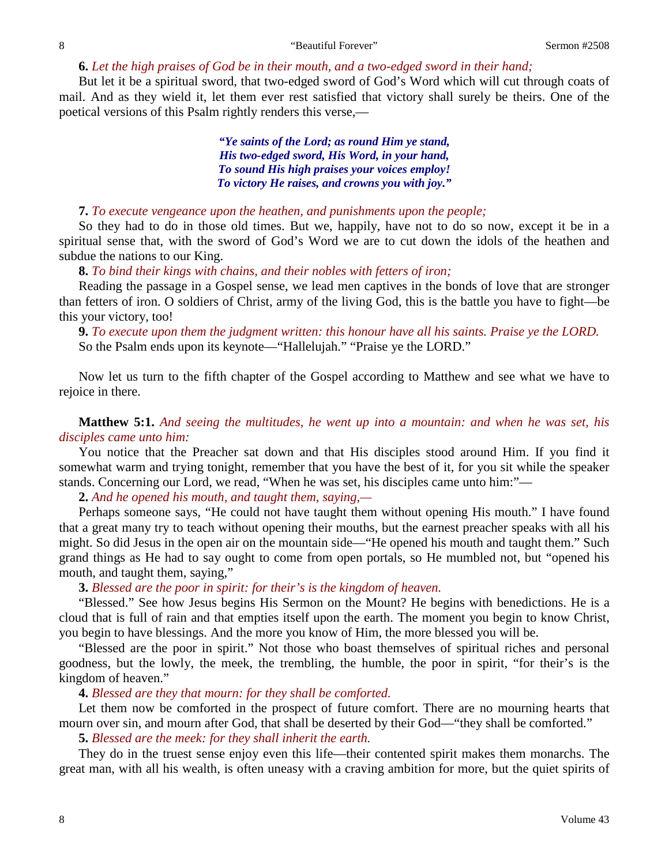#### **6.** *Let the high praises of God be in their mouth, and a two-edged sword in their hand;*

But let it be a spiritual sword, that two-edged sword of God's Word which will cut through coats of mail. And as they wield it, let them ever rest satisfied that victory shall surely be theirs. One of the poetical versions of this Psalm rightly renders this verse,—

> *"Ye saints of the Lord; as round Him ye stand, His two-edged sword, His Word, in your hand, To sound His high praises your voices employ! To victory He raises, and crowns you with joy."*

### **7.** *To execute vengeance upon the heathen, and punishments upon the people;*

So they had to do in those old times. But we, happily, have not to do so now, except it be in a spiritual sense that, with the sword of God's Word we are to cut down the idols of the heathen and subdue the nations to our King.

### **8.** *To bind their kings with chains, and their nobles with fetters of iron;*

Reading the passage in a Gospel sense, we lead men captives in the bonds of love that are stronger than fetters of iron. O soldiers of Christ, army of the living God, this is the battle you have to fight—be this your victory, too!

**9.** *To execute upon them the judgment written: this honour have all his saints. Praise ye the LORD.* So the Psalm ends upon its keynote—"Hallelujah." "Praise ye the LORD."

Now let us turn to the fifth chapter of the Gospel according to Matthew and see what we have to rejoice in there.

**Matthew 5:1.** *And seeing the multitudes, he went up into a mountain: and when he was set, his disciples came unto him:*

You notice that the Preacher sat down and that His disciples stood around Him. If you find it somewhat warm and trying tonight, remember that you have the best of it, for you sit while the speaker stands. Concerning our Lord, we read, "When he was set, his disciples came unto him:"—

**2.** *And he opened his mouth, and taught them, saying,—*

Perhaps someone says, "He could not have taught them without opening His mouth." I have found that a great many try to teach without opening their mouths, but the earnest preacher speaks with all his might. So did Jesus in the open air on the mountain side—"He opened his mouth and taught them." Such grand things as He had to say ought to come from open portals, so He mumbled not, but "opened his mouth, and taught them, saying,"

### **3.** *Blessed are the poor in spirit: for their's is the kingdom of heaven.*

"Blessed." See how Jesus begins His Sermon on the Mount? He begins with benedictions. He is a cloud that is full of rain and that empties itself upon the earth. The moment you begin to know Christ, you begin to have blessings. And the more you know of Him, the more blessed you will be.

"Blessed are the poor in spirit." Not those who boast themselves of spiritual riches and personal goodness, but the lowly, the meek, the trembling, the humble, the poor in spirit, "for their's is the kingdom of heaven."

**4.** *Blessed are they that mourn: for they shall be comforted.* 

Let them now be comforted in the prospect of future comfort. There are no mourning hearts that mourn over sin, and mourn after God, that shall be deserted by their God—"they shall be comforted."

**5.** *Blessed are the meek: for they shall inherit the earth.* 

They do in the truest sense enjoy even this life—their contented spirit makes them monarchs. The great man, with all his wealth, is often uneasy with a craving ambition for more, but the quiet spirits of